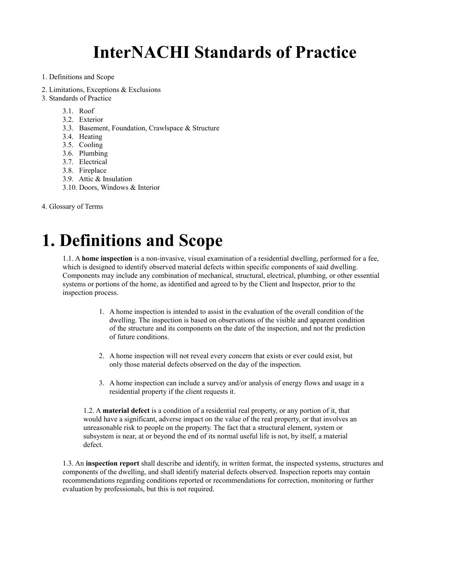# **InterNACHI Standards of Practice**

- 1. Definitions and Scope
- 2. Limitations, Exceptions & Exclusions
- 3. Standards of Practice
	- 3.1. Roof
	- 3.2. Exterior
	- 3.3. Basement, Foundation, Crawlspace & Structure
	- 3.4. Heating
	- 3.5. Cooling
	- 3.6. Plumbing
	- 3.7. Electrical
	- 3.8. Fireplace
	- 3.9. Attic & Insulation
	- 3.10. Doors, Windows & Interior
- 4. Glossary of Terms

# **1. Definitions and Scope**

1.1. A **home inspection** is a non-invasive, visual examination of a residential dwelling, performed for a fee, which is designed to identify observed material defects within specific components of said dwelling. Components may include any combination of mechanical, structural, electrical, plumbing, or other essential systems or portions of the home, as identified and agreed to by the Client and Inspector, prior to the inspection process.

- 1. A home inspection is intended to assist in the evaluation of the overall condition of the dwelling. The inspection is based on observations of the visible and apparent condition of the structure and its components on the date of the inspection, and not the prediction of future conditions.
- 2. A home inspection will not reveal every concern that exists or ever could exist, but only those material defects observed on the day of the inspection.
- 3. A home inspection can include a survey and/or analysis of energy flows and usage in a residential property if the client requests it.

1.2. A **material defect** is a condition of a residential real property, or any portion of it, that would have a significant, adverse impact on the value of the real property, or that involves an unreasonable risk to people on the property. The fact that a structural element, system or subsystem is near, at or beyond the end of its normal useful life is not, by itself, a material defect.

1.3. An **inspection report** shall describe and identify, in written format, the inspected systems, structures and components of the dwelling, and shall identify material defects observed. Inspection reports may contain recommendations regarding conditions reported or recommendations for correction, monitoring or further evaluation by professionals, but this is not required.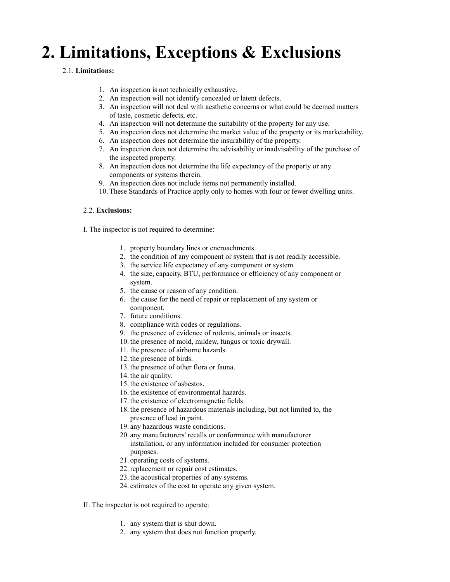# **2. Limitations, Exceptions & Exclusions**

## 2.1. **Limitations:**

- 1. An inspection is not technically exhaustive.
- 2. An inspection will not identify concealed or latent defects.
- 3. An inspection will not deal with aesthetic concerns or what could be deemed matters of taste, cosmetic defects, etc.
- 4. An inspection will not determine the suitability of the property for any use.
- 5. An inspection does not determine the market value of the property or its marketability.
- 6. An inspection does not determine the insurability of the property.
- 7. An inspection does not determine the advisability or inadvisability of the purchase of the inspected property.
- 8. An inspection does not determine the life expectancy of the property or any components or systems therein.
- 9. An inspection does not include items not permanently installed.
- 10. These Standards of Practice apply only to homes with four or fewer dwelling units.

### 2.2. **Exclusions:**

I. The inspector is not required to determine:

- 1. property boundary lines or encroachments.
- 2. the condition of any component or system that is not readily accessible.
- 3. the service life expectancy of any component or system.
- 4. the size, capacity, BTU, performance or efficiency of any component or system.
- 5. the cause or reason of any condition.
- 6. the cause for the need of repair or replacement of any system or component.
- 7. future conditions.
- 8. compliance with codes or regulations.
- 9. the presence of evidence of rodents, animals or insects.
- 10. the presence of mold, mildew, fungus or toxic drywall.
- 11. the presence of airborne hazards.
- 12. the presence of birds.
- 13. the presence of other flora or fauna.
- 14. the air quality.
- 15. the existence of asbestos.
- 16. the existence of environmental hazards.
- 17. the existence of electromagnetic fields.
- 18. the presence of hazardous materials including, but not limited to, the presence of lead in paint.
	- 19. any hazardous waste conditions.
- 20. any manufacturers' recalls or conformance with manufacturer installation, or any information included for consumer protection purposes.
- 21. operating costs of systems.
- 22.replacement or repair cost estimates.
- 23. the acoustical properties of any systems.
- 24. estimates of the cost to operate any given system.
- II. The inspector is not required to operate:
	- 1. any system that is shut down.
	- 2. any system that does not function properly.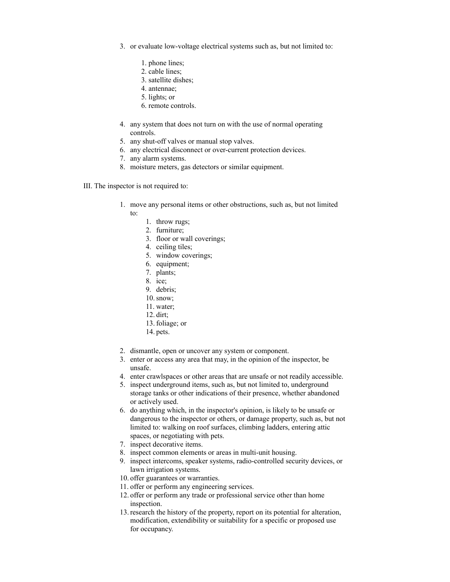- 3. or evaluate low-voltage electrical systems such as, but not limited to:
	- 1. phone lines;
	- 2. cable lines;
	- 3. satellite dishes;
	- 4. antennae;
	- 5. lights; or
	- 6. remote controls.
- 4. any system that does not turn on with the use of normal operating controls.
- 5. any shut-off valves or manual stop valves.
- 6. any electrical disconnect or over-current protection devices.
- 7. any alarm systems.
- 8. moisture meters, gas detectors or similar equipment.
- III. The inspector is not required to:
	- 1. move any personal items or other obstructions, such as, but not limited to:
		- 1. throw rugs;
		- 2. furniture;
		- 3. floor or wall coverings;
		- 4. ceiling tiles;
		- 5. window coverings;
		- 6. equipment;
		- 7. plants;
		- 8. ice;
		- 9. debris;
		- 10.snow;
		- 11. water;
		- 12. dirt;
		- 13. foliage; or
		- 14. pets.
	- 2. dismantle, open or uncover any system or component.
	- 3. enter or access any area that may, in the opinion of the inspector, be unsafe.
	- 4. enter crawlspaces or other areas that are unsafe or not readily accessible.
	- 5. inspect underground items, such as, but not limited to, underground storage tanks or other indications of their presence, whether abandoned or actively used.
	- 6. do anything which, in the inspector's opinion, is likely to be unsafe or dangerous to the inspector or others, or damage property, such as, but not limited to: walking on roof surfaces, climbing ladders, entering attic spaces, or negotiating with pets.
	- 7. inspect decorative items.
	- 8. inspect common elements or areas in multi-unit housing.
	- 9. inspect intercoms, speaker systems, radio-controlled security devices, or lawn irrigation systems.
	- 10. offer guarantees or warranties.
	- 11. offer or perform any engineering services.
	- 12. offer or perform any trade or professional service other than home inspection.
	- 13.research the history of the property, report on its potential for alteration, modification, extendibility or suitability for a specific or proposed use for occupancy.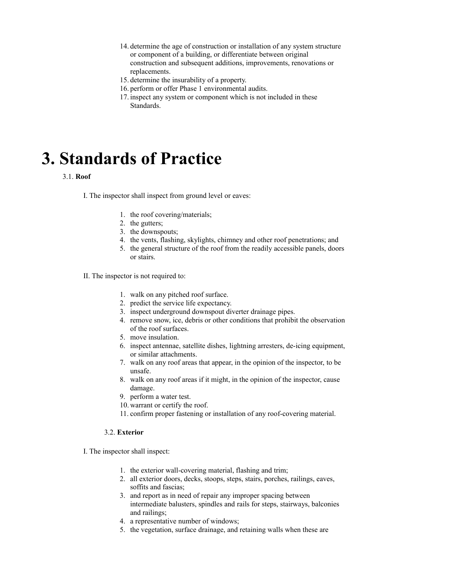- 14. determine the age of construction or installation of any system structure or component of a building, or differentiate between original construction and subsequent additions, improvements, renovations or replacements.
- 15. determine the insurability of a property.
- 16. perform or offer Phase 1 environmental audits.
- 17. inspect any system or component which is not included in these Standards.

# **3. Standards of Practice**

#### 3.1. **Roof**

I. The inspector shall inspect from ground level or eaves:

- 1. the roof covering/materials;
- 2. the gutters;
- 3. the downspouts;
- 4. the vents, flashing, skylights, chimney and other roof penetrations; and
- 5. the general structure of the roof from the readily accessible panels, doors or stairs.
- II. The inspector is not required to:
	- 1. walk on any pitched roof surface.
	- 2. predict the service life expectancy.
	- 3. inspect underground downspout diverter drainage pipes.
	- 4. remove snow, ice, debris or other conditions that prohibit the observation of the roof surfaces.
	- 5. move insulation.
	- 6. inspect antennae, satellite dishes, lightning arresters, de-icing equipment, or similar attachments.
	- 7. walk on any roof areas that appear, in the opinion of the inspector, to be unsafe.
	- 8. walk on any roof areas if it might, in the opinion of the inspector, cause damage.
	- 9. perform a water test.
	- 10. warrant or certify the roof.
	- 11. confirm proper fastening or installation of any roof-covering material.

#### 3.2. **Exterior**

I. The inspector shall inspect:

- 1. the exterior wall-covering material, flashing and trim;
- 2. all exterior doors, decks, stoops, steps, stairs, porches, railings, eaves, soffits and fascias;
- 3. and report as in need of repair any improper spacing between intermediate balusters, spindles and rails for steps, stairways, balconies and railings;
- 4. a representative number of windows;
- 5. the vegetation, surface drainage, and retaining walls when these are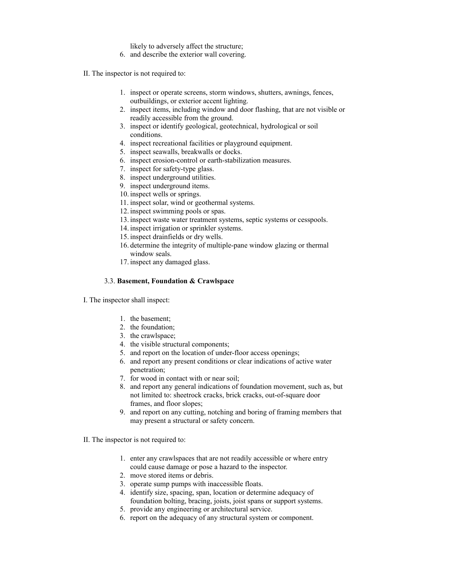- likely to adversely affect the structure;
- 6. and describe the exterior wall covering.
- II. The inspector is not required to:
	- 1. inspect or operate screens, storm windows, shutters, awnings, fences, outbuildings, or exterior accent lighting.
	- 2. inspect items, including window and door flashing, that are not visible or readily accessible from the ground.
	- 3. inspect or identify geological, geotechnical, hydrological or soil conditions.
	- 4. inspect recreational facilities or playground equipment.
	- 5. inspect seawalls, breakwalls or docks.
	- 6. inspect erosion-control or earth-stabilization measures.
	- 7. inspect for safety-type glass.
	- 8. inspect underground utilities.
	- 9. inspect underground items.
	- 10. inspect wells or springs.
	- 11. inspect solar, wind or geothermal systems.
	- 12. inspect swimming pools or spas.
	- 13. inspect waste water treatment systems, septic systems or cesspools.
	- 14. inspect irrigation or sprinkler systems.
	- 15. inspect drainfields or dry wells.
	- 16. determine the integrity of multiple-pane window glazing or thermal window seals.
	- 17. inspect any damaged glass.

#### 3.3. **Basement, Foundation & Crawlspace**

- I. The inspector shall inspect:
	- 1. the basement;
	- 2. the foundation;
	- 3. the crawlspace;
	- 4. the visible structural components;
	- 5. and report on the location of under-floor access openings;
	- 6. and report any present conditions or clear indications of active water penetration;
	- 7. for wood in contact with or near soil;
	- 8. and report any general indications of foundation movement, such as, but not limited to: sheetrock cracks, brick cracks, out-of-square door frames, and floor slopes;
	- 9. and report on any cutting, notching and boring of framing members that may present a structural or safety concern.
- II. The inspector is not required to:
	- 1. enter any crawlspaces that are not readily accessible or where entry could cause damage or pose a hazard to the inspector.
	- 2. move stored items or debris.
	- 3. operate sump pumps with inaccessible floats.
	- 4. identify size, spacing, span, location or determine adequacy of foundation bolting, bracing, joists, joist spans or support systems.
	- 5. provide any engineering or architectural service.
	- 6. report on the adequacy of any structural system or component.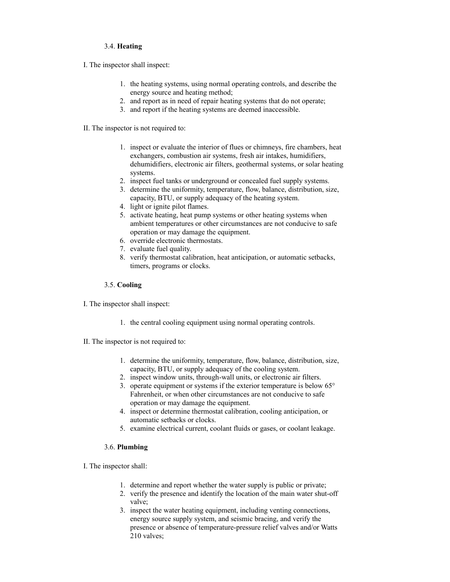### 3.4. **Heating**

I. The inspector shall inspect:

- 1. the heating systems, using normal operating controls, and describe the energy source and heating method;
- 2. and report as in need of repair heating systems that do not operate;
- 3. and report if the heating systems are deemed inaccessible.
- II. The inspector is not required to:
	- 1. inspect or evaluate the interior of flues or chimneys, fire chambers, heat exchangers, combustion air systems, fresh air intakes, humidifiers, dehumidifiers, electronic air filters, geothermal systems, or solar heating systems.
	- 2. inspect fuel tanks or underground or concealed fuel supply systems.
	- 3. determine the uniformity, temperature, flow, balance, distribution, size, capacity, BTU, or supply adequacy of the heating system.
	- 4. light or ignite pilot flames.
	- 5. activate heating, heat pump systems or other heating systems when ambient temperatures or other circumstances are not conducive to safe operation or may damage the equipment.
	- 6. override electronic thermostats.
	- 7. evaluate fuel quality.
	- 8. verify thermostat calibration, heat anticipation, or automatic setbacks, timers, programs or clocks.

#### 3.5. **Cooling**

- I. The inspector shall inspect:
	- 1. the central cooling equipment using normal operating controls.
- II. The inspector is not required to:
	- 1. determine the uniformity, temperature, flow, balance, distribution, size, capacity, BTU, or supply adequacy of the cooling system.
	- 2. inspect window units, through-wall units, or electronic air filters.
	- 3. operate equipment or systems if the exterior temperature is below 65° Fahrenheit, or when other circumstances are not conducive to safe operation or may damage the equipment.
	- 4. inspect or determine thermostat calibration, cooling anticipation, or automatic setbacks or clocks.
	- 5. examine electrical current, coolant fluids or gases, or coolant leakage.

### 3.6. **Plumbing**

- I. The inspector shall:
	- 1. determine and report whether the water supply is public or private;
	- 2. verify the presence and identify the location of the main water shut-off valve;
	- 3. inspect the water heating equipment, including venting connections, energy source supply system, and seismic bracing, and verify the presence or absence of temperature-pressure relief valves and/or Watts 210 valves;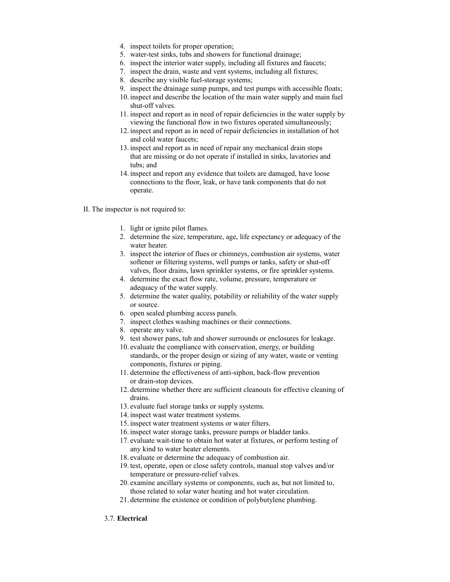- 4. inspect toilets for proper operation;
- 5. water-test sinks, tubs and showers for functional drainage;
- 6. inspect the interior water supply, including all fixtures and faucets;
- 7. inspect the drain, waste and vent systems, including all fixtures;
- 8. describe any visible fuel-storage systems;
- 9. inspect the drainage sump pumps, and test pumps with accessible floats;
- 10. inspect and describe the location of the main water supply and main fuel shut-off valves.
- 11. inspect and report as in need of repair deficiencies in the water supply by viewing the functional flow in two fixtures operated simultaneously;
- 12. inspect and report as in need of repair deficiencies in installation of hot and cold water faucets;
- 13. inspect and report as in need of repair any mechanical drain stops that are missing or do not operate if installed in sinks, lavatories and tubs; and
- 14. inspect and report any evidence that toilets are damaged, have loose connections to the floor, leak, or have tank components that do not operate.
- II. The inspector is not required to:
	- 1. light or ignite pilot flames.
	- 2. determine the size, temperature, age, life expectancy or adequacy of the water heater.
	- 3. inspect the interior of flues or chimneys, combustion air systems, water softener or filtering systems, well pumps or tanks, safety or shut-off valves, floor drains, lawn sprinkler systems, or fire sprinkler systems.
	- 4. determine the exact flow rate, volume, pressure, temperature or adequacy of the water supply.
	- 5. determine the water quality, potability or reliability of the water supply or source.
	- 6. open sealed plumbing access panels.
	- 7. inspect clothes washing machines or their connections.
	- 8. operate any valve.
	- 9. test shower pans, tub and shower surrounds or enclosures for leakage.
	- 10. evaluate the compliance with conservation, energy, or building standards, or the proper design or sizing of any water, waste or venting components, fixtures or piping.
	- 11. determine the effectiveness of anti-siphon, back-flow prevention or drain-stop devices.
	- 12. determine whether there are sufficient cleanouts for effective cleaning of drains.
	- 13. evaluate fuel storage tanks or supply systems.
	- 14. inspect wast water treatment systems.
	- 15. inspect water treatment systems or water filters.
	- 16. inspect water storage tanks, pressure pumps or bladder tanks.
	- 17. evaluate wait-time to obtain hot water at fixtures, or perform testing of any kind to water heater elements.
	- 18. evaluate or determine the adequacy of combustion air.
	- 19. test, operate, open or close safety controls, manual stop valves and/or temperature or pressure-relief valves.
	- 20. examine ancillary systems or components, such as, but not limited to, those related to solar water heating and hot water circulation.
	- 21. determine the existence or condition of polybutylene plumbing.

### 3.7. **Electrical**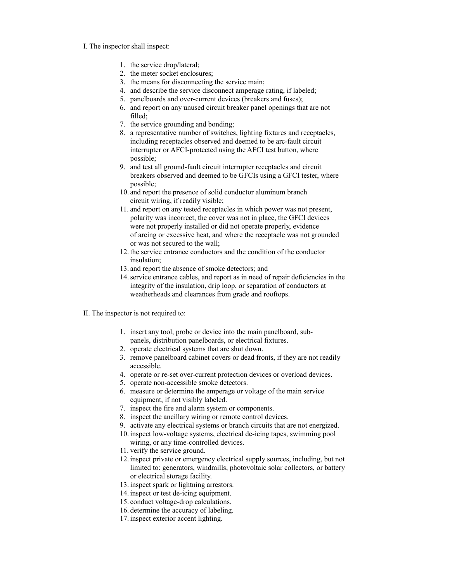#### I. The inspector shall inspect:

- 1. the service drop/lateral;
- 2. the meter socket enclosures;
- 3. the means for disconnecting the service main;
- 4. and describe the service disconnect amperage rating, if labeled;
- 5. panelboards and over-current devices (breakers and fuses);
- 6. and report on any unused circuit breaker panel openings that are not filled;
- 7. the service grounding and bonding;
- 8. a representative number of switches, lighting fixtures and receptacles, including receptacles observed and deemed to be arc-fault circuit interrupter or AFCI-protected using the AFCI test button, where possible;
- 9. and test all ground-fault circuit interrupter receptacles and circuit breakers observed and deemed to be GFCIs using a GFCI tester, where possible;
- 10. and report the presence of solid conductor aluminum branch circuit wiring, if readily visible;
- 11. and report on any tested receptacles in which power was not present, polarity was incorrect, the cover was not in place, the GFCI devices were not properly installed or did not operate properly, evidence of arcing or excessive heat, and where the receptacle was not grounded or was not secured to the wall;
- 12. the service entrance conductors and the condition of the conductor insulation;
- 13. and report the absence of smoke detectors; and
- 14.service entrance cables, and report as in need of repair deficiencies in the integrity of the insulation, drip loop, or separation of conductors at weatherheads and clearances from grade and rooftops.
- II. The inspector is not required to:
	- 1. insert any tool, probe or device into the main panelboard, subpanels, distribution panelboards, or electrical fixtures.
	- 2. operate electrical systems that are shut down.
	- 3. remove panelboard cabinet covers or dead fronts, if they are not readily accessible.
	- 4. operate or re-set over-current protection devices or overload devices.
	- 5. operate non-accessible smoke detectors.
	- 6. measure or determine the amperage or voltage of the main service equipment, if not visibly labeled.
	- 7. inspect the fire and alarm system or components.
	- 8. inspect the ancillary wiring or remote control devices.
	- 9. activate any electrical systems or branch circuits that are not energized.
	- 10. inspect low-voltage systems, electrical de-icing tapes, swimming pool wiring, or any time-controlled devices.
	- 11. verify the service ground.
	- 12. inspect private or emergency electrical supply sources, including, but not limited to: generators, windmills, photovoltaic solar collectors, or battery or electrical storage facility.
	- 13. inspect spark or lightning arrestors.
	- 14. inspect or test de-icing equipment.
	- 15. conduct voltage-drop calculations.
	- 16. determine the accuracy of labeling.
	- 17. inspect exterior accent lighting.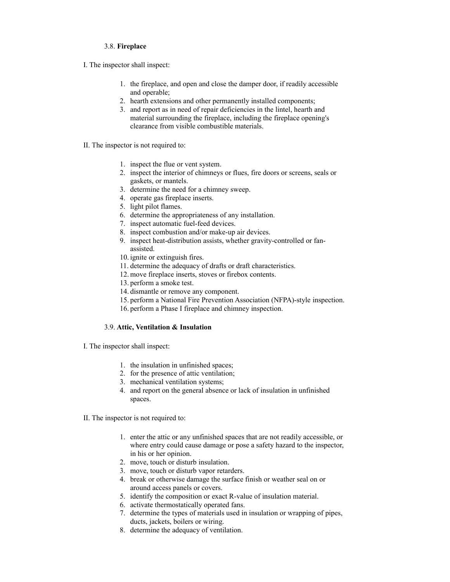#### 3.8. **Fireplace**

I. The inspector shall inspect:

- 1. the fireplace, and open and close the damper door, if readily accessible and operable;
- 2. hearth extensions and other permanently installed components;
- 3. and report as in need of repair deficiencies in the lintel, hearth and material surrounding the fireplace, including the fireplace opening's clearance from visible combustible materials.
- II. The inspector is not required to:
	- 1. inspect the flue or vent system.
	- 2. inspect the interior of chimneys or flues, fire doors or screens, seals or gaskets, or mantels.
	- 3. determine the need for a chimney sweep.
	- 4. operate gas fireplace inserts.
	- 5. light pilot flames.
	- 6. determine the appropriateness of any installation.
	- 7. inspect automatic fuel-feed devices.
	- 8. inspect combustion and/or make-up air devices.
	- 9. inspect heat-distribution assists, whether gravity-controlled or fanassisted.
	- 10. ignite or extinguish fires.
	- 11. determine the adequacy of drafts or draft characteristics.
	- 12. move fireplace inserts, stoves or firebox contents.
	- 13. perform a smoke test.
	- 14. dismantle or remove any component.
	- 15. perform a National Fire Prevention Association (NFPA)-style inspection.
	- 16. perform a Phase I fireplace and chimney inspection.

### 3.9. **Attic, Ventilation & Insulation**

- I. The inspector shall inspect:
	- 1. the insulation in unfinished spaces;
	- 2. for the presence of attic ventilation;
	- 3. mechanical ventilation systems;
	- 4. and report on the general absence or lack of insulation in unfinished spaces.
- II. The inspector is not required to:
	- 1. enter the attic or any unfinished spaces that are not readily accessible, or where entry could cause damage or pose a safety hazard to the inspector, in his or her opinion.
	- 2. move, touch or disturb insulation.
	- 3. move, touch or disturb vapor retarders.
	- 4. break or otherwise damage the surface finish or weather seal on or around access panels or covers.
	- 5. identify the composition or exact R-value of insulation material.
	- 6. activate thermostatically operated fans.
	- 7. determine the types of materials used in insulation or wrapping of pipes, ducts, jackets, boilers or wiring.
	- 8. determine the adequacy of ventilation.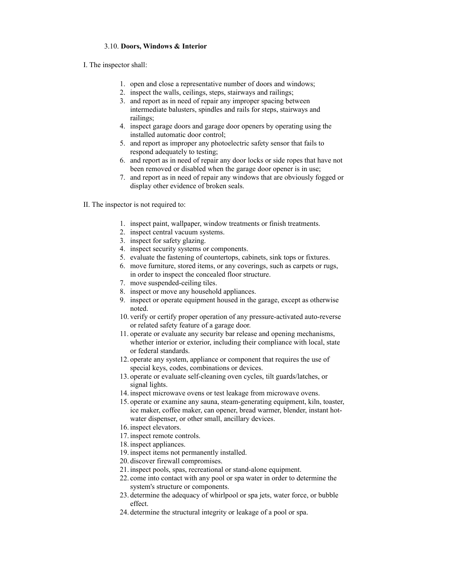#### 3.10. **Doors, Windows & Interior**

I. The inspector shall:

- 1. open and close a representative number of doors and windows;
- 2. inspect the walls, ceilings, steps, stairways and railings;
- 3. and report as in need of repair any improper spacing between intermediate balusters, spindles and rails for steps, stairways and railings;
- 4. inspect garage doors and garage door openers by operating using the installed automatic door control;
- 5. and report as improper any photoelectric safety sensor that fails to respond adequately to testing;
- 6. and report as in need of repair any door locks or side ropes that have not been removed or disabled when the garage door opener is in use;
- 7. and report as in need of repair any windows that are obviously fogged or display other evidence of broken seals.
- II. The inspector is not required to:
	- 1. inspect paint, wallpaper, window treatments or finish treatments.
	- 2. inspect central vacuum systems.
	- 3. inspect for safety glazing.
	- 4. inspect security systems or components.
	- 5. evaluate the fastening of countertops, cabinets, sink tops or fixtures.
	- 6. move furniture, stored items, or any coverings, such as carpets or rugs, in order to inspect the concealed floor structure.
	- 7. move suspended-ceiling tiles.
	- 8. inspect or move any household appliances.
	- 9. inspect or operate equipment housed in the garage, except as otherwise noted.
	- 10. verify or certify proper operation of any pressure-activated auto-reverse or related safety feature of a garage door.
	- 11. operate or evaluate any security bar release and opening mechanisms, whether interior or exterior, including their compliance with local, state or federal standards.
	- 12. operate any system, appliance or component that requires the use of special keys, codes, combinations or devices.
	- 13. operate or evaluate self-cleaning oven cycles, tilt guards/latches, or signal lights.
	- 14. inspect microwave ovens or test leakage from microwave ovens.
	- 15. operate or examine any sauna, steam-generating equipment, kiln, toaster, ice maker, coffee maker, can opener, bread warmer, blender, instant hotwater dispenser, or other small, ancillary devices.
	- 16. inspect elevators.
	- 17. inspect remote controls.
	- 18. inspect appliances.
	- 19. inspect items not permanently installed.
	- 20. discover firewall compromises.
	- 21. inspect pools, spas, recreational or stand-alone equipment.
	- 22. come into contact with any pool or spa water in order to determine the system's structure or components.
	- 23. determine the adequacy of whirlpool or spa jets, water force, or bubble effect.
	- 24. determine the structural integrity or leakage of a pool or spa.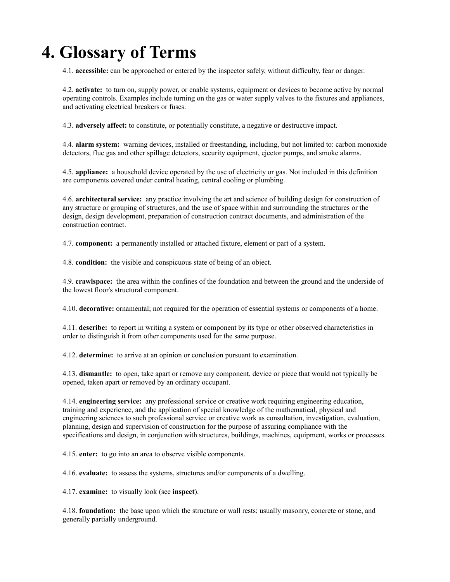# **4. Glossary of Terms**

4.1. **accessible:** can be approached or entered by the inspector safely, without difficulty, fear or danger.

4.2. **activate:** to turn on, supply power, or enable systems, equipment or devices to become active by normal operating controls. Examples include turning on the gas or water supply valves to the fixtures and appliances, and activating electrical breakers or fuses.

4.3. **adversely affect:** to constitute, or potentially constitute, a negative or destructive impact.

4.4. **alarm system:** warning devices, installed or freestanding, including, but not limited to: carbon monoxide detectors, flue gas and other spillage detectors, security equipment, ejector pumps, and smoke alarms.

4.5. **appliance:** a household device operated by the use of electricity or gas. Not included in this definition are components covered under central heating, central cooling or plumbing.

4.6. **architectural service:** any practice involving the art and science of building design for construction of any structure or grouping of structures, and the use of space within and surrounding the structures or the design, design development, preparation of construction contract documents, and administration of the construction contract.

4.7. **component:** a permanently installed or attached fixture, element or part of a system.

4.8. **condition:** the visible and conspicuous state of being of an object.

4.9. **crawlspace:** the area within the confines of the foundation and between the ground and the underside of the lowest floor's structural component.

4.10. **decorative:** ornamental; not required for the operation of essential systems or components of a home.

4.11. **describe:** to report in writing a system or component by its type or other observed characteristics in order to distinguish it from other components used for the same purpose.

4.12. **determine:** to arrive at an opinion or conclusion pursuant to examination.

4.13. **dismantle:** to open, take apart or remove any component, device or piece that would not typically be opened, taken apart or removed by an ordinary occupant.

4.14. **engineering service:** any professional service or creative work requiring engineering education, training and experience, and the application of special knowledge of the mathematical, physical and engineering sciences to such professional service or creative work as consultation, investigation, evaluation, planning, design and supervision of construction for the purpose of assuring compliance with the specifications and design, in conjunction with structures, buildings, machines, equipment, works or processes.

4.15. **enter:** to go into an area to observe visible components.

4.16. **evaluate:** to assess the systems, structures and/or components of a dwelling.

4.17. **examine:** to visually look (see **inspect**).

4.18. **foundation:** the base upon which the structure or wall rests; usually masonry, concrete or stone, and generally partially underground.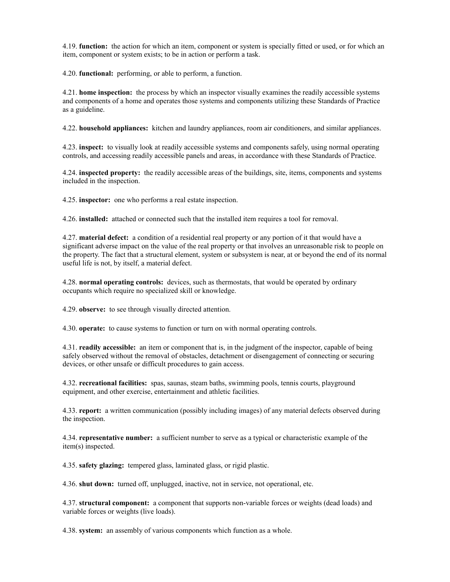4.19. **function:** the action for which an item, component or system is specially fitted or used, or for which an item, component or system exists; to be in action or perform a task.

4.20. **functional:** performing, or able to perform, a function.

4.21. **home inspection:** the process by which an inspector visually examines the readily accessible systems and components of a home and operates those systems and components utilizing these Standards of Practice as a guideline.

4.22. **household appliances:** kitchen and laundry appliances, room air conditioners, and similar appliances.

4.23. **inspect:** to visually look at readily accessible systems and components safely, using normal operating controls, and accessing readily accessible panels and areas, in accordance with these Standards of Practice.

4.24. **inspected property:** the readily accessible areas of the buildings, site, items, components and systems included in the inspection.

4.25. **inspector:** one who performs a real estate inspection.

4.26. **installed:** attached or connected such that the installed item requires a tool for removal.

4.27. **material defect:** a condition of a residential real property or any portion of it that would have a significant adverse impact on the value of the real property or that involves an unreasonable risk to people on the property. The fact that a structural element, system or subsystem is near, at or beyond the end of its normal useful life is not, by itself, a material defect.

4.28. **normal operating controls:** devices, such as thermostats, that would be operated by ordinary occupants which require no specialized skill or knowledge.

4.29. **observe:** to see through visually directed attention.

4.30. **operate:** to cause systems to function or turn on with normal operating controls.

4.31. **readily accessible:** an item or component that is, in the judgment of the inspector, capable of being safely observed without the removal of obstacles, detachment or disengagement of connecting or securing devices, or other unsafe or difficult procedures to gain access.

4.32. **recreational facilities:** spas, saunas, steam baths, swimming pools, tennis courts, playground equipment, and other exercise, entertainment and athletic facilities.

4.33. **report:** a written communication (possibly including images) of any material defects observed during the inspection.

4.34. **representative number:** a sufficient number to serve as a typical or characteristic example of the item(s) inspected.

4.35. **safety glazing:** tempered glass, laminated glass, or rigid plastic.

4.36. **shut down:** turned off, unplugged, inactive, not in service, not operational, etc.

4.37. **structural component:** a component that supports non-variable forces or weights (dead loads) and variable forces or weights (live loads).

4.38. **system:** an assembly of various components which function as a whole.